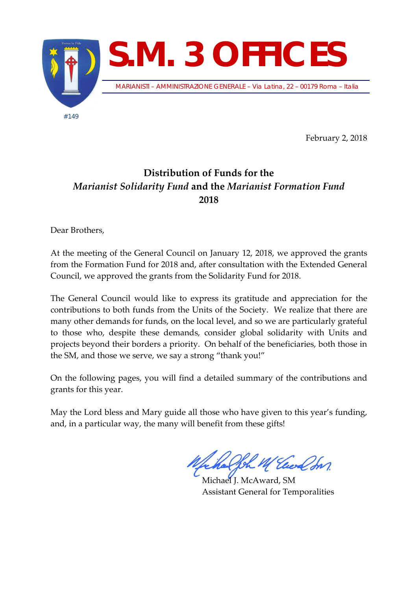

February 2, 2018

## **Distribution of Funds for the**  *Marianist Solidarity Fund* **and the** *Marianist Formation Fund* **2018**

Dear Brothers,

At the meeting of the General Council on January 12, 2018, we approved the grants from the Formation Fund for 2018 and, after consultation with the Extended General Council, we approved the grants from the Solidarity Fund for 2018.

The General Council would like to express its gratitude and appreciation for the contributions to both funds from the Units of the Society. We realize that there are many other demands for funds, on the local level, and so we are particularly grateful to those who, despite these demands, consider global solidarity with Units and projects beyond their borders a priority. On behalf of the beneficiaries, both those in the SM, and those we serve, we say a strong "thank you!"

On the following pages, you will find a detailed summary of the contributions and grants for this year.

May the Lord bless and Mary guide all those who have given to this year's funding, and, in a particular way, the many will benefit from these gifts!

Joh M Elect In

Michael J. McAward, SM Assistant General for Temporalities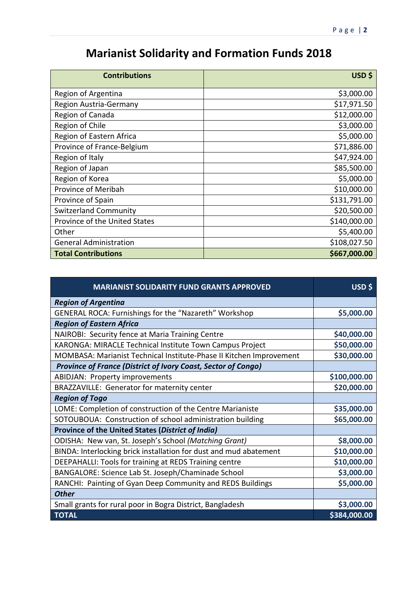## **Marianist Solidarity and Formation Funds 2018**

| <b>Contributions</b>          | USD\$        |
|-------------------------------|--------------|
| Region of Argentina           | \$3,000.00   |
| Region Austria-Germany        | \$17,971.50  |
| Region of Canada              | \$12,000.00  |
| Region of Chile               | \$3,000.00   |
| Region of Eastern Africa      | \$5,000.00   |
| Province of France-Belgium    | \$71,886.00  |
| Region of Italy               | \$47,924.00  |
| Region of Japan               | \$85,500.00  |
| Region of Korea               | \$5,000.00   |
| Province of Meribah           | \$10,000.00  |
| Province of Spain             | \$131,791.00 |
| <b>Switzerland Community</b>  | \$20,500.00  |
| Province of the United States | \$140,000.00 |
| Other                         | \$5,400.00   |
| <b>General Administration</b> | \$108,027.50 |
| <b>Total Contributions</b>    | \$667,000.00 |

| <b>MARIANIST SOLIDARITY FUND GRANTS APPROVED</b>                    | USD \$       |
|---------------------------------------------------------------------|--------------|
| <b>Region of Argentina</b>                                          |              |
| GENERAL ROCA: Furnishings for the "Nazareth" Workshop               | \$5,000.00   |
| <b>Region of Eastern Africa</b>                                     |              |
| NAIROBI: Security fence at Maria Training Centre                    | \$40,000.00  |
| KARONGA: MIRACLE Technical Institute Town Campus Project            | \$50,000.00  |
| MOMBASA: Marianist Technical Institute-Phase II Kitchen Improvement | \$30,000.00  |
| Province of France (District of Ivory Coast, Sector of Congo)       |              |
| <b>ABIDJAN: Property improvements</b>                               | \$100,000.00 |
| BRAZZAVILLE: Generator for maternity center                         | \$20,000.00  |
| <b>Region of Togo</b>                                               |              |
| LOME: Completion of construction of the Centre Marianiste           | \$35,000.00  |
| SOTOUBOUA: Construction of school administration building           | \$65,000.00  |
| Province of the United States (District of India)                   |              |
| ODISHA: New van, St. Joseph's School (Matching Grant)               | \$8,000.00   |
| BINDA: Interlocking brick installation for dust and mud abatement   | \$10,000.00  |
| DEEPAHALLI: Tools for training at REDS Training centre              | \$10,000.00  |
| BANGALORE: Science Lab St. Joseph/Chaminade School                  | \$3,000.00   |
| RANCHI: Painting of Gyan Deep Community and REDS Buildings          | \$5,000.00   |
| <b>Other</b>                                                        |              |
| Small grants for rural poor in Bogra District, Bangladesh           | \$3,000.00   |
| <b>TOTAL</b>                                                        | \$384,000.00 |